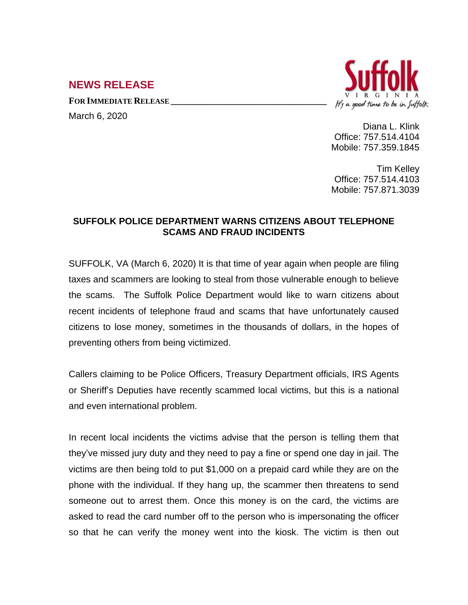## **NEWS RELEASE**

**FOR IMMEDIATE RELEASE \_\_\_\_\_\_\_\_\_\_\_\_\_\_\_\_\_\_\_\_\_\_\_\_\_\_\_\_\_\_\_\_\_\_**

March 6, 2020



Diana L. Klink Office: 757.514.4104 Mobile: 757.359.1845

Tim Kelley Office: 757.514.4103 Mobile: 757.871.3039

## **SUFFOLK POLICE DEPARTMENT WARNS CITIZENS ABOUT TELEPHONE SCAMS AND FRAUD INCIDENTS**

SUFFOLK, VA (March 6, 2020) It is that time of year again when people are filing taxes and scammers are looking to steal from those vulnerable enough to believe the scams. The Suffolk Police Department would like to warn citizens about recent incidents of telephone fraud and scams that have unfortunately caused citizens to lose money, sometimes in the thousands of dollars, in the hopes of preventing others from being victimized.

Callers claiming to be Police Officers, Treasury Department officials, IRS Agents or Sheriff's Deputies have recently scammed local victims, but this is a national and even international problem.

In recent local incidents the victims advise that the person is telling them that they've missed jury duty and they need to pay a fine or spend one day in jail. The victims are then being told to put \$1,000 on a prepaid card while they are on the phone with the individual. If they hang up, the scammer then threatens to send someone out to arrest them. Once this money is on the card, the victims are asked to read the card number off to the person who is impersonating the officer so that he can verify the money went into the kiosk. The victim is then out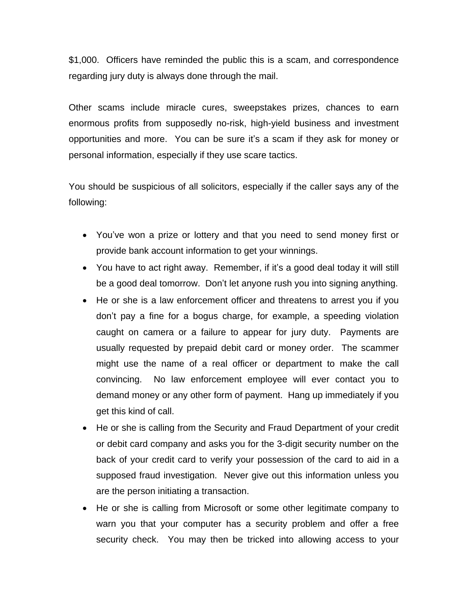\$1,000. Officers have reminded the public this is a scam, and correspondence regarding jury duty is always done through the mail.

Other scams include miracle cures, sweepstakes prizes, chances to earn enormous profits from supposedly no-risk, high-yield business and investment opportunities and more. You can be sure it's a scam if they ask for money or personal information, especially if they use scare tactics.

You should be suspicious of all solicitors, especially if the caller says any of the following:

- You've won a prize or lottery and that you need to send money first or provide bank account information to get your winnings.
- You have to act right away. Remember, if it's a good deal today it will still be a good deal tomorrow. Don't let anyone rush you into signing anything.
- He or she is a law enforcement officer and threatens to arrest you if you don't pay a fine for a bogus charge, for example, a speeding violation caught on camera or a failure to appear for jury duty. Payments are usually requested by prepaid debit card or money order. The scammer might use the name of a real officer or department to make the call convincing. No law enforcement employee will ever contact you to demand money or any other form of payment. Hang up immediately if you get this kind of call.
- He or she is calling from the Security and Fraud Department of your credit or debit card company and asks you for the 3-digit security number on the back of your credit card to verify your possession of the card to aid in a supposed fraud investigation. Never give out this information unless you are the person initiating a transaction.
- He or she is calling from Microsoft or some other legitimate company to warn you that your computer has a security problem and offer a free security check. You may then be tricked into allowing access to your